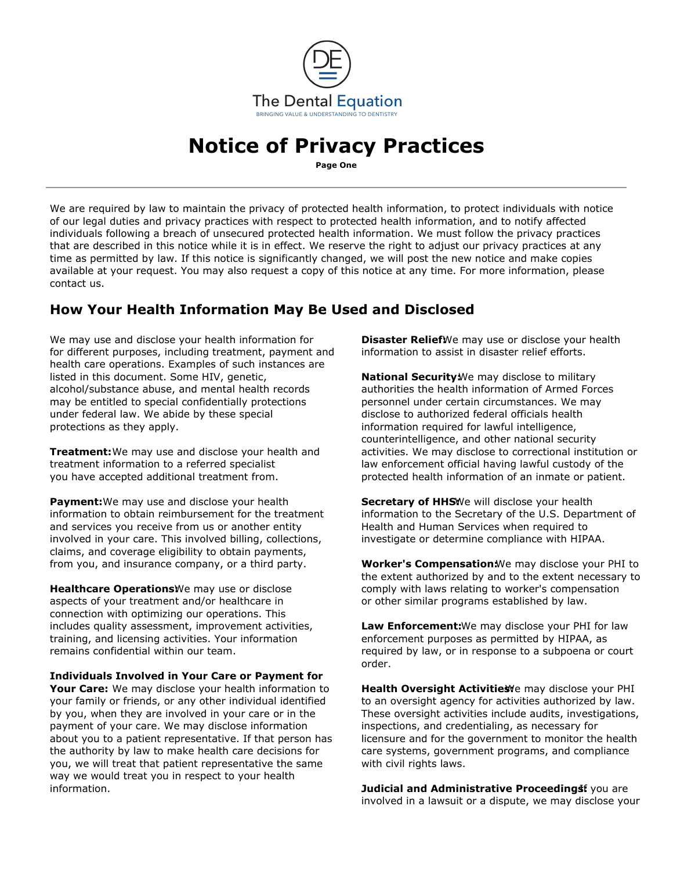

# **Notice of Privacy Practices**

**Page One**

We are required by law to maintain the privacy of protected health information, to protect individuals with notice of our legal duties and privacy practices with respect to protected health information, and to notify affected individuals following a breach of unsecured protected health information. We must follow the privacy practices that are described in this notice while it is in effect. We reserve the right to adjust our privacy practices at any time as permitted by law. If this notice is significantly changed, we will post the new notice and make copies available at your request. You may also request a copy of this notice at any time. For more information, please contact us.

## **How Your Health Information May Be Used and Disclosed**

We may use and disclose your health information for **Disaster Relief** We may use or disclose your health for different purposes, including treatment, payment and information to assist in disaster relief efforts. health care operations. Examples of such instances are listed in this document. Some HIV, genetic, **National Security:** We may disclose to military alcohol/substance abuse, and mental health records authorities the health information of Armed Forces may be entitled to special confidentially protections personnel under certain circumstances. We may under federal law. We abide by these special disclose to authorized federal officials health protections as they apply. information required for lawful intelligence,

treatment information to a referred specialist law enforcement official having lawful custody of the you have accepted additional treatment from. exclude the protected health information of an inmate or patient.

**Payment:** We may use and disclose your health **Secretary of HHS:** We will disclose your health information to obtain reimbursement for the treatment information to the Secretary of the U.S. Department of and services you receive from us or another entity **Health and Human Services when required to** involved in your care. This involved billing, collections, investigate or determine compliance with HIPAA. claims, and coverage eligibility to obtain payments, from you, and insurance company, or a third party. **Worker's Compensation:** We may disclose your PHI to

**Healthcare Operations** We may use or disclose comply with laws relating to worker's compensation aspects of your treatment and/or healthcare in or other similar programs established by law. connection with optimizing our operations. This training, and licensing activities. Your information enforcement purposes as permitted by HIPAA, as

**Individuals Involved in Your Care or Payment for**

Your Care: We may disclose your health information to **Health Oversight Activities** emay disclose your PHI your family or friends, or any other individual identified to an oversight agency for activities authorized by law. by you, when they are involved in your care or in the These oversight activities include audits, investigations, payment of your care. We may disclose information inspections, and credentialing, as necessary for about you to a patient representative. If that person has licensure and for the government to monitor the health the authority by law to make health care decisions for care systems, government programs, and compliance you, we will treat that patient representative the same with civil rights laws. way we would treat you in respect to your health information. *Iudicial and Administrative Proceedingst* you are

counterintelligence, and other national security **Treatment:** We may use and disclose your health and activities. We may disclose to correctional institution or

the extent authorized by and to the extent necessary to

includes quality assessment, improvement activities, **Law Enforcement:**We may disclose your PHI for law remains confidential within our team. The same of the sequired by law, or in response to a subpoena or court order.

involved in a lawsuit or a dispute, we may disclose your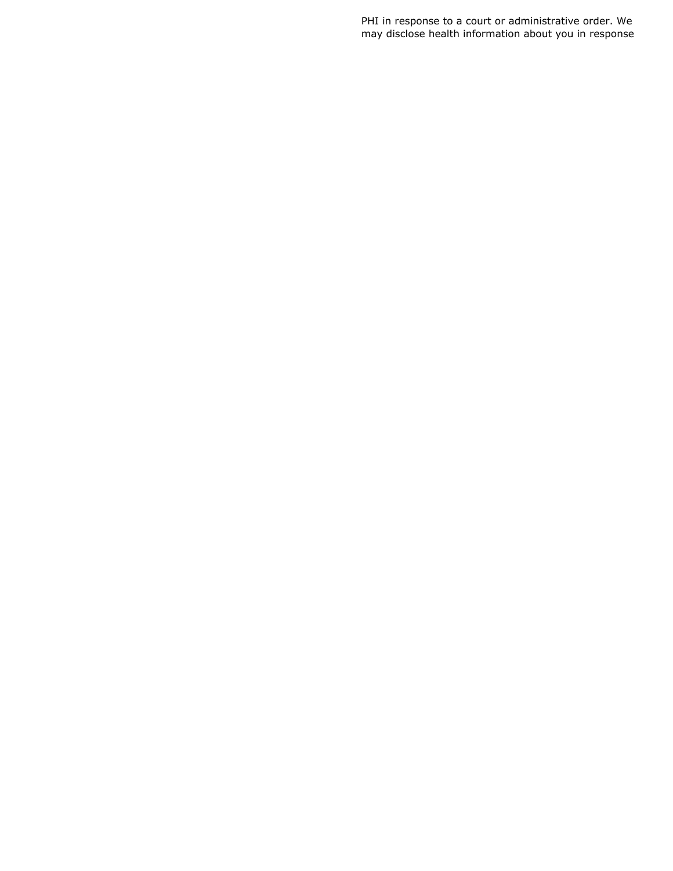PHI in response to a court or administrative order. We may disclose health information about you in response